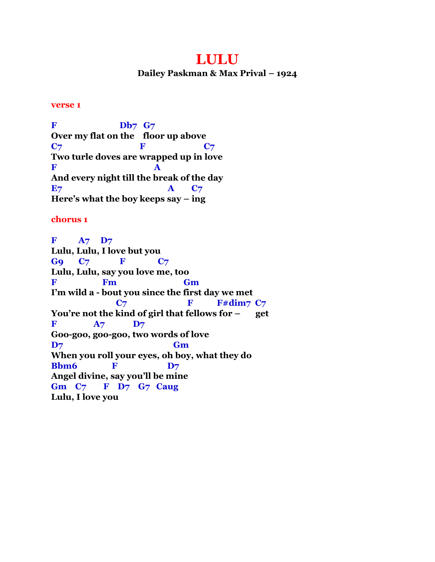# **LULU**

**Dailey Paskman & Max Prival – 1924**

### **verse 1**

**F Db7 G7 Over my flat on the floor up above C**<sub>7</sub> **F** C<sub>7</sub> **Two turle doves are wrapped up in love**  $\mathbf{F}$  **A And every night till the break of the day E**7 **A** C<sub>7</sub> **Here's what the boy keeps say – ing**

# **chorus 1**

**F A7 D7 Lulu, Lulu, I love but you G9 C7 F C7 Lulu, Lulu, say you love me, too F Fm Gm I'm wild a - bout you since the first day we met C7 F** F#dim7 C7 **You're not the kind of girl that fellows for – get F**  $A7$  **D**7 **Goo-goo, goo-goo, two words of love D7 Gm When you roll your eyes, oh boy, what they do Bbm6 F** D7 **Angel divine, say you'll be mine Gm C7 F D7 G7 Caug Lulu, I love you**